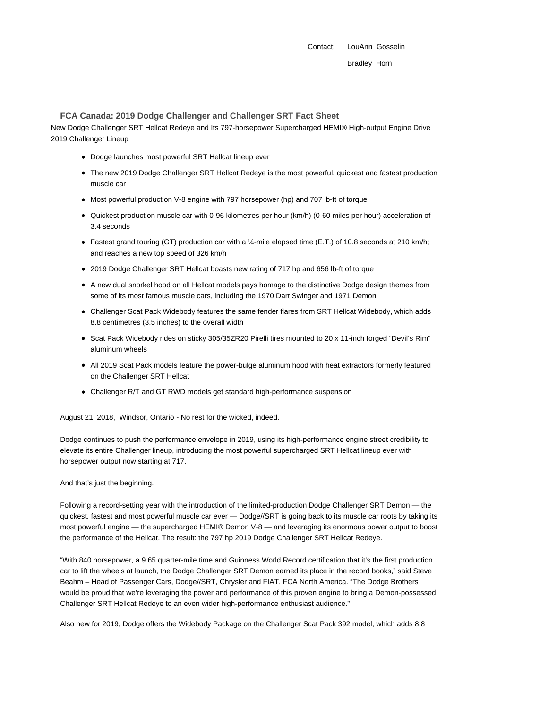Contact: LouAnn Gosselin Bradley Horn

## **FCA Canada: 2019 Dodge Challenger and Challenger SRT Fact Sheet**

New Dodge Challenger SRT Hellcat Redeye and Its 797-horsepower Supercharged HEMI® High-output Engine Drive 2019 Challenger Lineup

- Dodge launches most powerful SRT Hellcat lineup ever
- The new 2019 Dodge Challenger SRT Hellcat Redeye is the most powerful, quickest and fastest production muscle car
- Most powerful production V-8 engine with 797 horsepower (hp) and 707 lb-ft of torque
- Quickest production muscle car with 0-96 kilometres per hour (km/h) (0-60 miles per hour) acceleration of 3.4 seconds
- Fastest grand touring (GT) production car with a ¼-mile elapsed time (E.T.) of 10.8 seconds at 210 km/h; and reaches a new top speed of 326 km/h
- 2019 Dodge Challenger SRT Hellcat boasts new rating of 717 hp and 656 lb-ft of torque
- A new dual snorkel hood on all Hellcat models pays homage to the distinctive Dodge design themes from some of its most famous muscle cars, including the 1970 Dart Swinger and 1971 Demon
- Challenger Scat Pack Widebody features the same fender flares from SRT Hellcat Widebody, which adds 8.8 centimetres (3.5 inches) to the overall width
- Scat Pack Widebody rides on sticky 305/35ZR20 Pirelli tires mounted to 20 x 11-inch forged "Devil's Rim" aluminum wheels
- All 2019 Scat Pack models feature the power-bulge aluminum hood with heat extractors formerly featured on the Challenger SRT Hellcat
- Challenger R/T and GT RWD models get standard high-performance suspension

August 21, 2018, Windsor, Ontario - No rest for the wicked, indeed.

Dodge continues to push the performance envelope in 2019, using its high-performance engine street credibility to elevate its entire Challenger lineup, introducing the most powerful supercharged SRT Hellcat lineup ever with horsepower output now starting at 717.

### And that's just the beginning.

Following a record-setting year with the introduction of the limited-production Dodge Challenger SRT Demon — the quickest, fastest and most powerful muscle car ever - Dodge//SRT is going back to its muscle car roots by taking its most powerful engine — the supercharged HEMI® Demon V-8 — and leveraging its enormous power output to boost the performance of the Hellcat. The result: the 797 hp 2019 Dodge Challenger SRT Hellcat Redeye.

"With 840 horsepower, a 9.65 quarter-mile time and Guinness World Record certification that it's the first production car to lift the wheels at launch, the Dodge Challenger SRT Demon earned its place in the record books," said Steve Beahm – Head of Passenger Cars, Dodge//SRT, Chrysler and FIAT, FCA North America. "The Dodge Brothers would be proud that we're leveraging the power and performance of this proven engine to bring a Demon-possessed Challenger SRT Hellcat Redeye to an even wider high-performance enthusiast audience."

Also new for 2019, Dodge offers the Widebody Package on the Challenger Scat Pack 392 model, which adds 8.8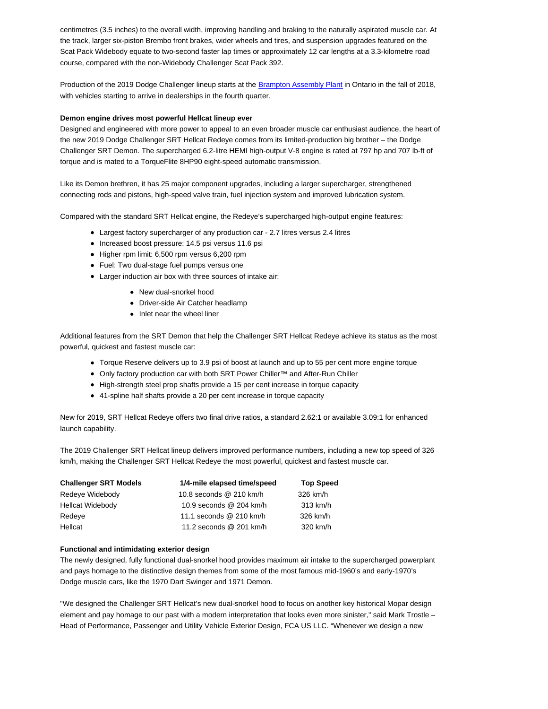centimetres (3.5 inches) to the overall width, improving handling and braking to the naturally aspirated muscle car. At the track, larger six-piston Brembo front brakes, wider wheels and tires, and suspension upgrades featured on the Scat Pack Widebody equate to two-second faster lap times or approximately 12 car lengths at a 3.3-kilometre road course, compared with the non-Widebody Challenger Scat Pack 392.

Production of the 2019 Dodge Challenger lineup starts at the Brampton Assembly Plant in Ontario in the fall of 2018, with vehicles starting to arrive in dealerships in the fourth quarter.

## **Demon engine drives most powerful Hellcat lineup ever**

Designed and engineered with more power to appeal to an even broader muscle car enthusiast audience, the heart of the new 2019 Dodge Challenger SRT Hellcat Redeye comes from its limited-production big brother – the Dodge Challenger SRT Demon. The supercharged 6.2-litre HEMI high-output V-8 engine is rated at 797 hp and 707 lb-ft of torque and is mated to a TorqueFlite 8HP90 eight-speed automatic transmission.

Like its Demon brethren, it has 25 major component upgrades, including a larger supercharger, strengthened connecting rods and pistons, high-speed valve train, fuel injection system and improved lubrication system.

Compared with the standard SRT Hellcat engine, the Redeye's supercharged high-output engine features:

- Largest factory supercharger of any production car 2.7 litres versus 2.4 litres
- Increased boost pressure: 14.5 psi versus 11.6 psi
- Higher rpm limit: 6,500 rpm versus 6,200 rpm
- Fuel: Two dual-stage fuel pumps versus one
- Larger induction air box with three sources of intake air:
	- New dual-snorkel hood
	- Driver-side Air Catcher headlamp
	- Inlet near the wheel liner

Additional features from the SRT Demon that help the Challenger SRT Hellcat Redeye achieve its status as the most powerful, quickest and fastest muscle car:

- Torque Reserve delivers up to 3.9 psi of boost at launch and up to 55 per cent more engine torque
- Only factory production car with both SRT Power Chiller™ and After-Run Chiller
- High-strength steel prop shafts provide a 15 per cent increase in torque capacity
- 41-spline half shafts provide a 20 per cent increase in torque capacity

New for 2019, SRT Hellcat Redeye offers two final drive ratios, a standard 2.62:1 or available 3.09:1 for enhanced launch capability.

The 2019 Challenger SRT Hellcat lineup delivers improved performance numbers, including a new top speed of 326 km/h, making the Challenger SRT Hellcat Redeye the most powerful, quickest and fastest muscle car.

| <b>Challenger SRT Models</b> | 1/4-mile elapsed time/speed | <b>Top Speed</b> |
|------------------------------|-----------------------------|------------------|
| Redeye Widebody              | 10.8 seconds @ 210 km/h     | 326 km/h         |
| <b>Hellcat Widebody</b>      | 10.9 seconds @ 204 km/h     | 313 km/h         |
| Redeve                       | 11.1 seconds @ 210 km/h     | 326 km/h         |
| Hellcat                      | 11.2 seconds @ 201 km/h     | 320 km/h         |

### **Functional and intimidating exterior design**

The newly designed, fully functional dual-snorkel hood provides maximum air intake to the supercharged powerplant and pays homage to the distinctive design themes from some of the most famous mid-1960's and early-1970's Dodge muscle cars, like the 1970 Dart Swinger and 1971 Demon.

"We designed the Challenger SRT Hellcat's new dual-snorkel hood to focus on another key historical Mopar design element and pay homage to our past with a modern interpretation that looks even more sinister," said Mark Trostle – Head of Performance, Passenger and Utility Vehicle Exterior Design, FCA US LLC. "Whenever we design a new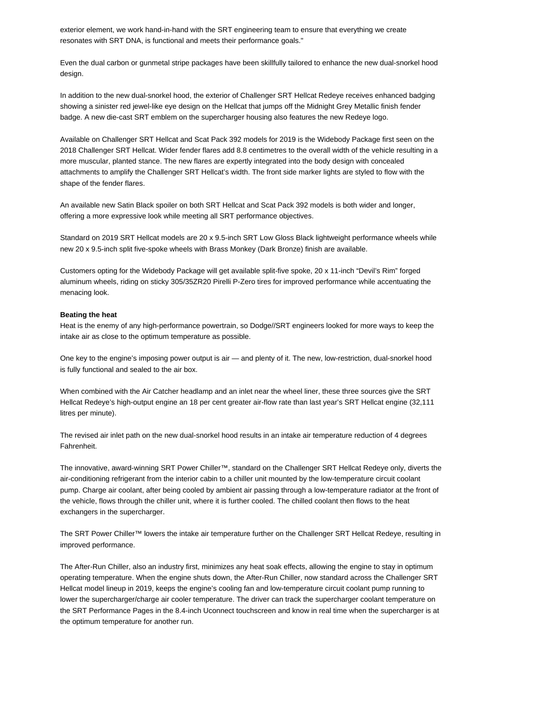exterior element, we work hand-in-hand with the SRT engineering team to ensure that everything we create resonates with SRT DNA, is functional and meets their performance goals."

Even the dual carbon or gunmetal stripe packages have been skillfully tailored to enhance the new dual-snorkel hood design.

In addition to the new dual-snorkel hood, the exterior of Challenger SRT Hellcat Redeye receives enhanced badging showing a sinister red jewel-like eye design on the Hellcat that jumps off the Midnight Grey Metallic finish fender badge. A new die-cast SRT emblem on the supercharger housing also features the new Redeye logo.

Available on Challenger SRT Hellcat and Scat Pack 392 models for 2019 is the Widebody Package first seen on the 2018 Challenger SRT Hellcat. Wider fender flares add 8.8 centimetres to the overall width of the vehicle resulting in a more muscular, planted stance. The new flares are expertly integrated into the body design with concealed attachments to amplify the Challenger SRT Hellcat's width. The front side marker lights are styled to flow with the shape of the fender flares.

An available new Satin Black spoiler on both SRT Hellcat and Scat Pack 392 models is both wider and longer, offering a more expressive look while meeting all SRT performance objectives.

Standard on 2019 SRT Hellcat models are 20 x 9.5-inch SRT Low Gloss Black lightweight performance wheels while new 20 x 9.5-inch split five-spoke wheels with Brass Monkey (Dark Bronze) finish are available.

Customers opting for the Widebody Package will get available split-five spoke, 20 x 11-inch "Devil's Rim" forged aluminum wheels, riding on sticky 305/35ZR20 Pirelli P-Zero tires for improved performance while accentuating the menacing look.

# **Beating the heat**

Heat is the enemy of any high-performance powertrain, so Dodge//SRT engineers looked for more ways to keep the intake air as close to the optimum temperature as possible.

One key to the engine's imposing power output is air — and plenty of it. The new, low-restriction, dual-snorkel hood is fully functional and sealed to the air box.

When combined with the Air Catcher headlamp and an inlet near the wheel liner, these three sources give the SRT Hellcat Redeye's high-output engine an 18 per cent greater air-flow rate than last year's SRT Hellcat engine (32,111 litres per minute).

The revised air inlet path on the new dual-snorkel hood results in an intake air temperature reduction of 4 degrees Fahrenheit.

The innovative, award-winning SRT Power Chiller™, standard on the Challenger SRT Hellcat Redeye only, diverts the air-conditioning refrigerant from the interior cabin to a chiller unit mounted by the low-temperature circuit coolant pump. Charge air coolant, after being cooled by ambient air passing through a low-temperature radiator at the front of the vehicle, flows through the chiller unit, where it is further cooled. The chilled coolant then flows to the heat exchangers in the supercharger.

The SRT Power Chiller™ lowers the intake air temperature further on the Challenger SRT Hellcat Redeye, resulting in improved performance.

The After-Run Chiller, also an industry first, minimizes any heat soak effects, allowing the engine to stay in optimum operating temperature. When the engine shuts down, the After-Run Chiller, now standard across the Challenger SRT Hellcat model lineup in 2019, keeps the engine's cooling fan and low-temperature circuit coolant pump running to lower the supercharger/charge air cooler temperature. The driver can track the supercharger coolant temperature on the SRT Performance Pages in the 8.4-inch Uconnect touchscreen and know in real time when the supercharger is at the optimum temperature for another run.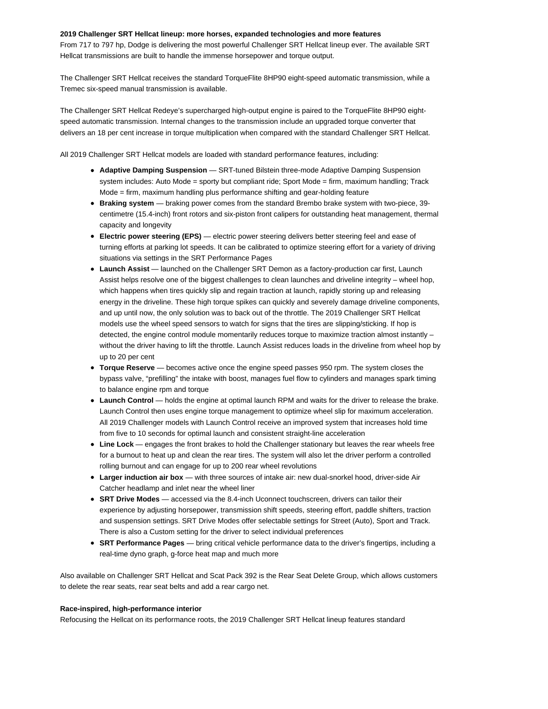### **2019 Challenger SRT Hellcat lineup: more horses, expanded technologies and more features**

From 717 to 797 hp, Dodge is delivering the most powerful Challenger SRT Hellcat lineup ever. The available SRT Hellcat transmissions are built to handle the immense horsepower and torque output.

The Challenger SRT Hellcat receives the standard TorqueFlite 8HP90 eight-speed automatic transmission, while a Tremec six-speed manual transmission is available.

The Challenger SRT Hellcat Redeye's supercharged high-output engine is paired to the TorqueFlite 8HP90 eightspeed automatic transmission. Internal changes to the transmission include an upgraded torque converter that delivers an 18 per cent increase in torque multiplication when compared with the standard Challenger SRT Hellcat.

All 2019 Challenger SRT Hellcat models are loaded with standard performance features, including:

- **Adaptive Damping Suspension SRT-tuned Bilstein three-mode Adaptive Damping Suspension** system includes: Auto Mode = sporty but compliant ride; Sport Mode = firm, maximum handling; Track Mode = firm, maximum handling plus performance shifting and gear-holding feature
- **Braking system**  braking power comes from the standard Brembo brake system with two-piece, 39 centimetre (15.4-inch) front rotors and six-piston front calipers for outstanding heat management, thermal capacity and longevity
- **Electric power steering (EPS)** electric power steering delivers better steering feel and ease of turning efforts at parking lot speeds. It can be calibrated to optimize steering effort for a variety of driving situations via settings in the SRT Performance Pages
- **Launch Assist**  launched on the Challenger SRT Demon as a factory-production car first, Launch Assist helps resolve one of the biggest challenges to clean launches and driveline integrity – wheel hop, which happens when tires quickly slip and regain traction at launch, rapidly storing up and releasing energy in the driveline. These high torque spikes can quickly and severely damage driveline components, and up until now, the only solution was to back out of the throttle. The 2019 Challenger SRT Hellcat models use the wheel speed sensors to watch for signs that the tires are slipping/sticking. If hop is detected, the engine control module momentarily reduces torque to maximize traction almost instantly – without the driver having to lift the throttle. Launch Assist reduces loads in the driveline from wheel hop by up to 20 per cent
- **Torque Reserve**  becomes active once the engine speed passes 950 rpm. The system closes the bypass valve, "prefilling" the intake with boost, manages fuel flow to cylinders and manages spark timing to balance engine rpm and torque
- **Launch Control** holds the engine at optimal launch RPM and waits for the driver to release the brake. Launch Control then uses engine torque management to optimize wheel slip for maximum acceleration. All 2019 Challenger models with Launch Control receive an improved system that increases hold time from five to 10 seconds for optimal launch and consistent straight-line acceleration
- **Line Lock**  engages the front brakes to hold the Challenger stationary but leaves the rear wheels free for a burnout to heat up and clean the rear tires. The system will also let the driver perform a controlled rolling burnout and can engage for up to 200 rear wheel revolutions
- **Larger induction air box**  with three sources of intake air: new dual-snorkel hood, driver-side Air Catcher headlamp and inlet near the wheel liner
- **SRT Drive Modes** accessed via the 8.4-inch Uconnect touchscreen, drivers can tailor their experience by adjusting horsepower, transmission shift speeds, steering effort, paddle shifters, traction and suspension settings. SRT Drive Modes offer selectable settings for Street (Auto), Sport and Track. There is also a Custom setting for the driver to select individual preferences
- **SRT Performance Pages**  bring critical vehicle performance data to the driver's fingertips, including a real-time dyno graph, g-force heat map and much more

Also available on Challenger SRT Hellcat and Scat Pack 392 is the Rear Seat Delete Group, which allows customers to delete the rear seats, rear seat belts and add a rear cargo net.

#### **Race-inspired, high-performance interior**

Refocusing the Hellcat on its performance roots, the 2019 Challenger SRT Hellcat lineup features standard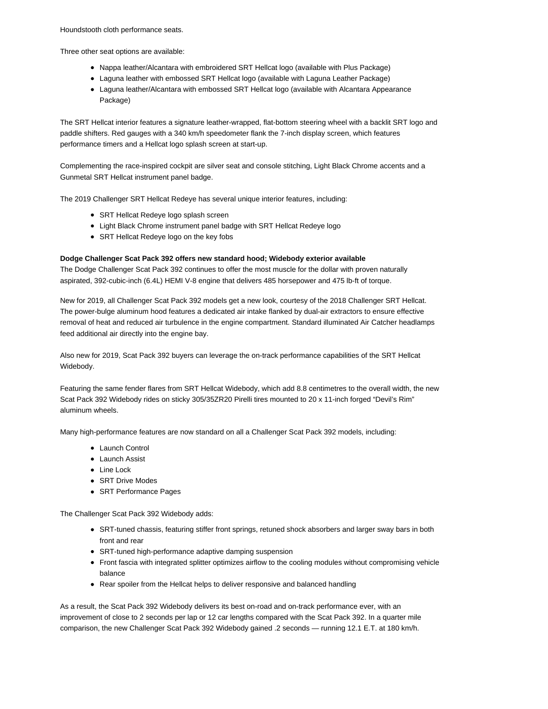Houndstooth cloth performance seats.

Three other seat options are available:

- Nappa leather/Alcantara with embroidered SRT Hellcat logo (available with Plus Package)
- Laguna leather with embossed SRT Hellcat logo (available with Laguna Leather Package)
- Laguna leather/Alcantara with embossed SRT Hellcat logo (available with Alcantara Appearance Package)

The SRT Hellcat interior features a signature leather-wrapped, flat-bottom steering wheel with a backlit SRT logo and paddle shifters. Red gauges with a 340 km/h speedometer flank the 7-inch display screen, which features performance timers and a Hellcat logo splash screen at start-up.

Complementing the race-inspired cockpit are silver seat and console stitching, Light Black Chrome accents and a Gunmetal SRT Hellcat instrument panel badge.

The 2019 Challenger SRT Hellcat Redeye has several unique interior features, including:

- SRT Hellcat Redeye logo splash screen
- Light Black Chrome instrument panel badge with SRT Hellcat Redeye logo
- SRT Hellcat Redeye logo on the key fobs

### **Dodge Challenger Scat Pack 392 offers new standard hood; Widebody exterior available**

The Dodge Challenger Scat Pack 392 continues to offer the most muscle for the dollar with proven naturally aspirated, 392-cubic-inch (6.4L) HEMI V-8 engine that delivers 485 horsepower and 475 lb-ft of torque.

New for 2019, all Challenger Scat Pack 392 models get a new look, courtesy of the 2018 Challenger SRT Hellcat. The power-bulge aluminum hood features a dedicated air intake flanked by dual-air extractors to ensure effective removal of heat and reduced air turbulence in the engine compartment. Standard illuminated Air Catcher headlamps feed additional air directly into the engine bay.

Also new for 2019, Scat Pack 392 buyers can leverage the on-track performance capabilities of the SRT Hellcat Widebody.

Featuring the same fender flares from SRT Hellcat Widebody, which add 8.8 centimetres to the overall width, the new Scat Pack 392 Widebody rides on sticky 305/35ZR20 Pirelli tires mounted to 20 x 11-inch forged "Devil's Rim" aluminum wheels.

Many high-performance features are now standard on all a Challenger Scat Pack 392 models, including:

- Launch Control
- Launch Assist
- Line Lock
- SRT Drive Modes
- SRT Performance Pages

The Challenger Scat Pack 392 Widebody adds:

- SRT-tuned chassis, featuring stiffer front springs, retuned shock absorbers and larger sway bars in both front and rear
- SRT-tuned high-performance adaptive damping suspension
- Front fascia with integrated splitter optimizes airflow to the cooling modules without compromising vehicle balance
- Rear spoiler from the Hellcat helps to deliver responsive and balanced handling

As a result, the Scat Pack 392 Widebody delivers its best on-road and on-track performance ever, with an improvement of close to 2 seconds per lap or 12 car lengths compared with the Scat Pack 392. In a quarter mile comparison, the new Challenger Scat Pack 392 Widebody gained .2 seconds — running 12.1 E.T. at 180 km/h.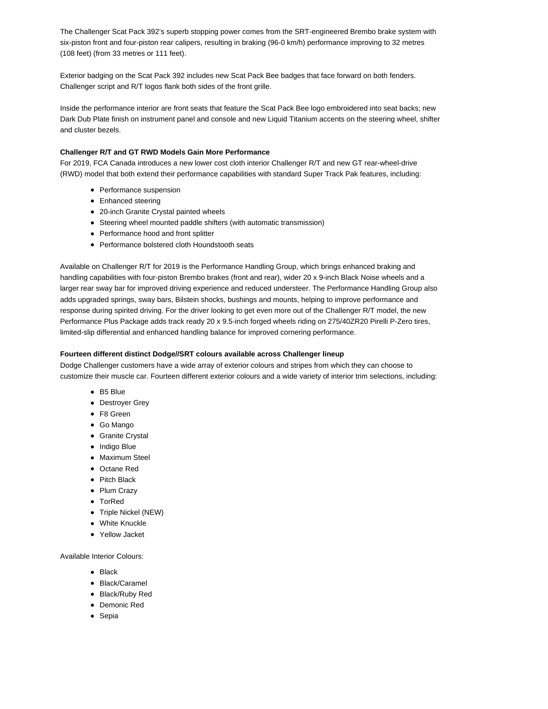The Challenger Scat Pack 392's superb stopping power comes from the SRT-engineered Brembo brake system with six-piston front and four-piston rear calipers, resulting in braking (96-0 km/h) performance improving to 32 metres (108 feet) (from 33 metres or 111 feet).

Exterior badging on the Scat Pack 392 includes new Scat Pack Bee badges that face forward on both fenders. Challenger script and R/T logos flank both sides of the front grille.

Inside the performance interior are front seats that feature the Scat Pack Bee logo embroidered into seat backs; new Dark Dub Plate finish on instrument panel and console and new Liquid Titanium accents on the steering wheel, shifter and cluster bezels.

# **Challenger R/T and GT RWD Models Gain More Performance**

For 2019, FCA Canada introduces a new lower cost cloth interior Challenger R/T and new GT rear-wheel-drive (RWD) model that both extend their performance capabilities with standard Super Track Pak features, including:

- Performance suspension
- Enhanced steering
- 20-inch Granite Crystal painted wheels
- Steering wheel mounted paddle shifters (with automatic transmission)
- Performance hood and front splitter
- Performance bolstered cloth Houndstooth seats

Available on Challenger R/T for 2019 is the Performance Handling Group, which brings enhanced braking and handling capabilities with four-piston Brembo brakes (front and rear), wider 20 x 9-inch Black Noise wheels and a larger rear sway bar for improved driving experience and reduced understeer. The Performance Handling Group also adds upgraded springs, sway bars, Bilstein shocks, bushings and mounts, helping to improve performance and response during spirited driving. For the driver looking to get even more out of the Challenger R/T model, the new Performance Plus Package adds track ready 20 x 9.5-inch forged wheels riding on 275/40ZR20 Pirelli P-Zero tires, limited-slip differential and enhanced handling balance for improved cornering performance.

# **Fourteen different distinct Dodge//SRT colours available across Challenger lineup**

Dodge Challenger customers have a wide array of exterior colours and stripes from which they can choose to customize their muscle car. Fourteen different exterior colours and a wide variety of interior trim selections, including:

- B5 Blue
- Destroyer Grey
- F8 Green
- Go Mango
- Granite Crystal
- Indigo Blue
- Maximum Steel
- Octane Red
- Pitch Black
- Plum Crazy
- TorRed
- Triple Nickel (NEW)
- White Knuckle
- Yellow Jacket

Available Interior Colours:

- Black
- Black/Caramel
- Black/Ruby Red
- Demonic Red
- Sepia